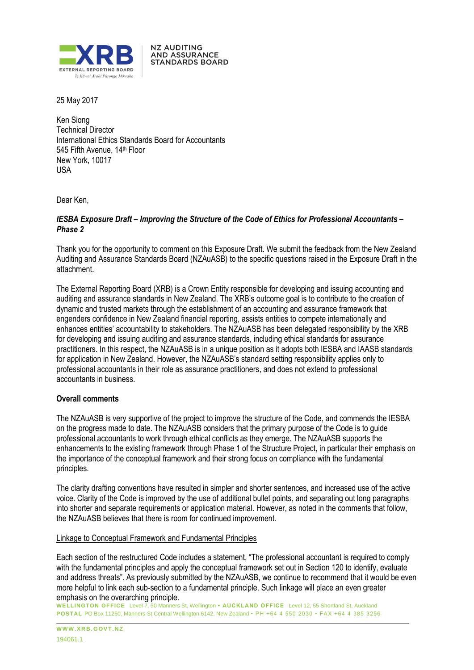

**NZ AUDITING AND ASSURANCE STANDARDS BOARD** 

25 May 2017

Ken Siong Technical Director International Ethics Standards Board for Accountants 545 Fifth Avenue, 14<sup>th</sup> Floor New York, 10017 USA

Dear Ken,

# *IESBA Exposure Draft – Improving the Structure of the Code of Ethics for Professional Accountants – Phase 2*

Thank you for the opportunity to comment on this Exposure Draft. We submit the feedback from the New Zealand Auditing and Assurance Standards Board (NZAuASB) to the specific questions raised in the Exposure Draft in the attachment.

The External Reporting Board (XRB) is a Crown Entity responsible for developing and issuing accounting and auditing and assurance standards in New Zealand. The XRB's outcome goal is to contribute to the creation of dynamic and trusted markets through the establishment of an accounting and assurance framework that engenders confidence in New Zealand financial reporting, assists entities to compete internationally and enhances entities' accountability to stakeholders. The NZAuASB has been delegated responsibility by the XRB for developing and issuing auditing and assurance standards, including ethical standards for assurance practitioners. In this respect, the NZAuASB is in a unique position as it adopts both IESBA and IAASB standards for application in New Zealand. However, the NZAuASB's standard setting responsibility applies only to professional accountants in their role as assurance practitioners, and does not extend to professional accountants in business.

# **Overall comments**

The NZAuASB is very supportive of the project to improve the structure of the Code, and commends the IESBA on the progress made to date. The NZAuASB considers that the primary purpose of the Code is to guide professional accountants to work through ethical conflicts as they emerge. The NZAuASB supports the enhancements to the existing framework through Phase 1 of the Structure Project, in particular their emphasis on the importance of the conceptual framework and their strong focus on compliance with the fundamental principles.

The clarity drafting conventions have resulted in simpler and shorter sentences, and increased use of the active voice. Clarity of the Code is improved by the use of additional bullet points, and separating out long paragraphs into shorter and separate requirements or application material. However, as noted in the comments that follow, the NZAuASB believes that there is room for continued improvement.

#### Linkage to Conceptual Framework and Fundamental Principles

Each section of the restructured Code includes a statement, "The professional accountant is required to comply with the fundamental principles and apply the conceptual framework set out in Section 120 to identify, evaluate and address threats". As previously submitted by the NZAuASB, we continue to recommend that it would be even more helpful to link each sub-section to a fundamental principle. Such linkage will place an even greater emphasis on the overarching principle.

**WELLINGTON OFFICE** Level 7, 50 Manners St, Wellington **• AUCKLAND OFFICE** Level 12, 55 Shortland St, Auckland **POSTAL** PO Box 11250, Manners St Central Wellington 6142, New Zealand • PH +64 4 550 2030 • FAX +64 4 385 3256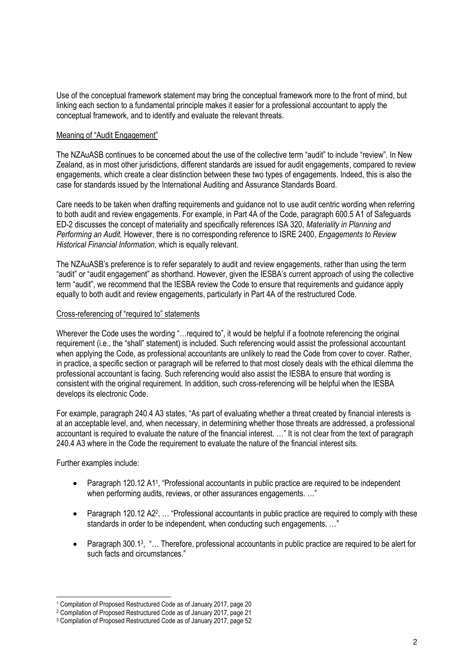Use of the conceptual framework statement may bring the conceptual framework more to the front of mind, but linking each section to a fundamental principle makes it easier for a professional accountant to apply the conceptual framework, and to identify and evaluate the relevant threats.

### Meaning of "Audit Engagement"

The NZAuASB continues to be concerned about the use of the collective term "audit" to include "review". In New Zealand, as in most other jurisdictions, different standards are issued for audit engagements, compared to review engagements, which create a clear distinction between these two types of engagements. Indeed, this is also the case for standards issued by the International Auditing and Assurance Standards Board.

Care needs to be taken when drafting requirements and guidance not to use audit centric wording when referring to both audit and review engagements. For example, in Part 4A of the Code, paragraph 600.5 A1 of Safeguards ED-2 discusses the concept of materiality and specifically references ISA 320, *Materiality in Planning and Performing an Audit.* However, there is no corresponding reference to ISRE 2400, *Engagements to Review Historical Financial Information*, which is equally relevant.

The NZAuASB's preference is to refer separately to audit and review engagements, rather than using the term "audit" or "audit engagement" as shorthand. However, given the IESBA's current approach of using the collective term "audit", we recommend that the IESBA review the Code to ensure that requirements and guidance apply equally to both audit and review engagements, particularly in Part 4A of the restructured Code.

#### Cross-referencing of "required to" statements

Wherever the Code uses the wording "...required to", it would be helpful if a footnote referencing the original requirement (i.e., the "shall" statement) is included. Such referencing would assist the professional accountant when applying the Code, as professional accountants are unlikely to read the Code from cover to cover. Rather, in practice, a specific section or paragraph will be referred to that most closely deals with the ethical dilemma the professional accountant is facing. Such referencing would also assist the IESBA to ensure that wording is consistent with the original requirement. In addition, such cross-referencing will be helpful when the IESBA develops its electronic Code.

For example, paragraph 240.4 A3 states, "As part of evaluating whether a threat created by financial interests is at an acceptable level, and, when necessary, in determining whether those threats are addressed, a professional accountant is required to evaluate the nature of the financial interest. …" It is not clear from the text of paragraph 240.4 A3 where in the Code the requirement to evaluate the nature of the financial interest sits.

Further examples include:

l

- Paragraph 120.12 A1<sup>1</sup>, "Professional accountants in public practice are required to be independent when performing audits, reviews, or other assurances engagements. ..."
- Paragraph 120.12 A2<sup>2</sup>, ... "Professional accountants in public practice are required to comply with these standards in order to be independent, when conducting such engagements. …"
- Paragraph 300.13, "... Therefore, professional accountants in public practice are required to be alert for such facts and circumstances."

<sup>1</sup> Compilation of Proposed Restructured Code as of January 2017, page 20

<sup>2</sup> Compilation of Proposed Restructured Code as of January 2017, page 21

<sup>3</sup> Compilation of Proposed Restructured Code as of January 2017, page 52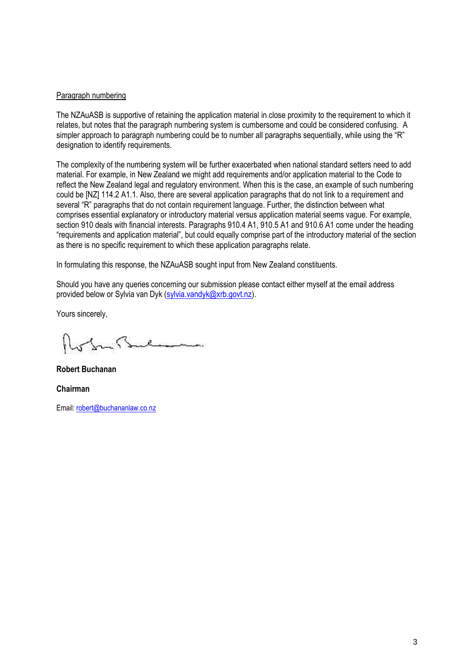#### Paragraph numbering

The NZAuASB is supportive of retaining the application material in close proximity to the requirement to which it relates, but notes that the paragraph numbering system is cumbersome and could be considered confusing. A simpler approach to paragraph numbering could be to number all paragraphs sequentially, while using the "R" designation to identify requirements.

The complexity of the numbering system will be further exacerbated when national standard setters need to add material. For example, in New Zealand we might add requirements and/or application material to the Code to reflect the New Zealand legal and regulatory environment. When this is the case, an example of such numbering could be [NZ] 114.2 A1.1. Also, there are several application paragraphs that do not link to a requirement and several "R" paragraphs that do not contain requirement language. Further, the distinction between what comprises essential explanatory or introductory material versus application material seems vague. For example, section 910 deals with financial interests. Paragraphs 910.4 A1, 910.5 A1 and 910.6 A1 come under the heading "requirements and application material", but could equally comprise part of the introductory material of the section as there is no specific requirement to which these application paragraphs relate.

In formulating this response, the NZAuASB sought input from New Zealand constituents.

Should you have any queries concerning our submission please contact either myself at the email address provided below or Sylvia van Dyk (sylvia.vandyk@xrb.govt.nz).

Yours sincerely,

 $\mathcal{P}$ 

**Robert Buchanan Chairman** Email: robert@buchananlaw.co.nz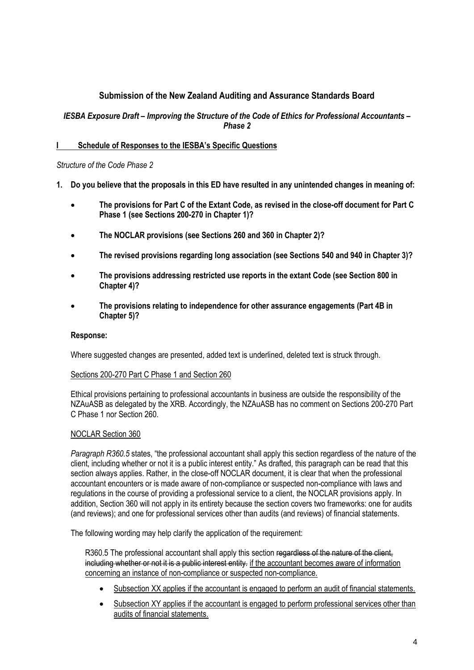# **Submission of the New Zealand Auditing and Assurance Standards Board**

# *IESBA Exposure Draft – Improving the Structure of the Code of Ethics for Professional Accountants – Phase 2*

# **I Schedule of Responses to the IESBA's Specific Questions**

### *Structure of the Code Phase 2*

- **1. Do you believe that the proposals in this ED have resulted in any unintended changes in meaning of:** 
	- **The provisions for Part C of the Extant Code, as revised in the close-off document for Part C Phase 1 (see Sections 200-270 in Chapter 1)?**
	- **The NOCLAR provisions (see Sections 260 and 360 in Chapter 2)?**
	- **The revised provisions regarding long association (see Sections 540 and 940 in Chapter 3)?**
	- **The provisions addressing restricted use reports in the extant Code (see Section 800 in Chapter 4)?**
	- **The provisions relating to independence for other assurance engagements (Part 4B in Chapter 5)?**

#### **Response:**

Where suggested changes are presented, added text is underlined, deleted text is struck through.

#### Sections 200-270 Part C Phase 1 and Section 260

Ethical provisions pertaining to professional accountants in business are outside the responsibility of the NZAuASB as delegated by the XRB. Accordingly, the NZAuASB has no comment on Sections 200-270 Part C Phase 1 nor Section 260.

#### NOCLAR Section 360

*Paragraph R360.5* states, "the professional accountant shall apply this section regardless of the nature of the client, including whether or not it is a public interest entity." As drafted, this paragraph can be read that this section always applies. Rather, in the close-off NOCLAR document, it is clear that when the professional accountant encounters or is made aware of non-compliance or suspected non-compliance with laws and regulations in the course of providing a professional service to a client, the NOCLAR provisions apply. In addition, Section 360 will not apply in its entirety because the section covers two frameworks: one for audits (and reviews); and one for professional services other than audits (and reviews) of financial statements.

The following wording may help clarify the application of the requirement:

R360.5 The professional accountant shall apply this section regardless of the nature of the client, including whether or not it is a public interest entity. if the accountant becomes aware of information concerning an instance of non-compliance or suspected non-compliance.

- Subsection XX applies if the accountant is engaged to perform an audit of financial statements.
- Subsection XY applies if the accountant is engaged to perform professional services other than audits of financial statements.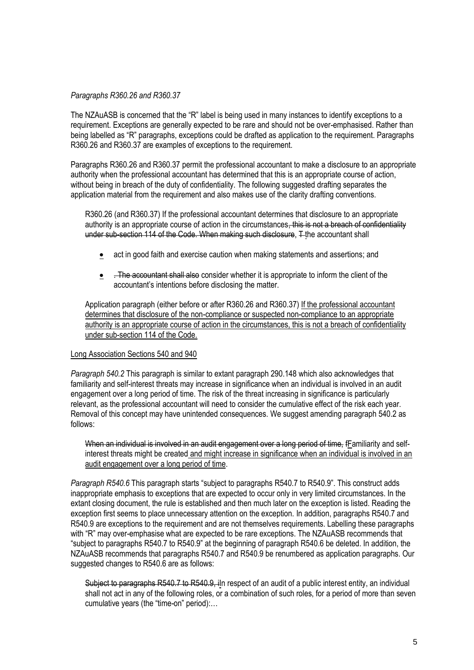#### *Paragraphs R360.26 and R360.37*

The NZAuASB is concerned that the "R" label is being used in many instances to identify exceptions to a requirement. Exceptions are generally expected to be rare and should not be over-emphasised. Rather than being labelled as "R" paragraphs, exceptions could be drafted as application to the requirement. Paragraphs R360.26 and R360.37 are examples of exceptions to the requirement.

Paragraphs R360.26 and R360.37 permit the professional accountant to make a disclosure to an appropriate authority when the professional accountant has determined that this is an appropriate course of action, without being in breach of the duty of confidentiality. The following suggested drafting separates the application material from the requirement and also makes use of the clarity drafting conventions.

R360.26 (and R360.37) If the professional accountant determines that disclosure to an appropriate authority is an appropriate course of action in the circumstances, this is not a breach of confidentiality under sub-section 114 of the Code. When making such disclosure, T the accountant shall

- act in good faith and exercise caution when making statements and assertions; and
- . The accountant shall also consider whether it is appropriate to inform the client of the accountant's intentions before disclosing the matter.

Application paragraph (either before or after R360.26 and R360.37) If the professional accountant determines that disclosure of the non-compliance or suspected non-compliance to an appropriate authority is an appropriate course of action in the circumstances, this is not a breach of confidentiality under sub-section 114 of the Code.

#### Long Association Sections 540 and 940

*Paragraph 540.2* This paragraph is similar to extant paragraph 290.148 which also acknowledges that familiarity and self-interest threats may increase in significance when an individual is involved in an audit engagement over a long period of time. The risk of the threat increasing in significance is particularly relevant, as the professional accountant will need to consider the cumulative effect of the risk each year. Removal of this concept may have unintended consequences. We suggest amending paragraph 540.2 as follows:

When an individual is involved in an audit engagement over a long period of time, fFamiliarity and selfinterest threats might be created and might increase in significance when an individual is involved in an audit engagement over a long period of time.

*Paragraph R540.6* This paragraph starts "subject to paragraphs R540.7 to R540.9". This construct adds inappropriate emphasis to exceptions that are expected to occur only in very limited circumstances. In the extant closing document, the rule is established and then much later on the exception is listed. Reading the exception first seems to place unnecessary attention on the exception. In addition, paragraphs R540.7 and R540.9 are exceptions to the requirement and are not themselves requirements. Labelling these paragraphs with "R" may over-emphasise what are expected to be rare exceptions. The NZAuASB recommends that "subject to paragraphs R540.7 to R540.9" at the beginning of paragraph R540.6 be deleted. In addition, the NZAuASB recommends that paragraphs R540.7 and R540.9 be renumbered as application paragraphs. Our suggested changes to R540.6 are as follows:

Subject to paragraphs R540.7 to R540.9, iln respect of an audit of a public interest entity, an individual shall not act in any of the following roles, or a combination of such roles, for a period of more than seven cumulative years (the "time-on" period):…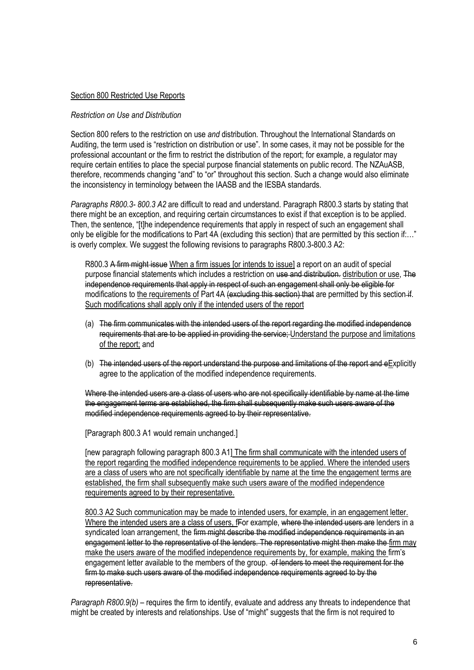#### Section 800 Restricted Use Reports

#### *Restriction on Use and Distribution*

Section 800 refers to the restriction on use *and* distribution*.* Throughout the International Standards on Auditing, the term used is "restriction on distribution or use". In some cases, it may not be possible for the professional accountant or the firm to restrict the distribution of the report; for example, a regulator may require certain entities to place the special purpose financial statements on public record. The NZAuASB, therefore, recommends changing "and" to "or" throughout this section. Such a change would also eliminate the inconsistency in terminology between the IAASB and the IESBA standards.

*Paragraphs R800.3- 800.3 A2* are difficult to read and understand. Paragraph R800.3 starts by stating that there might be an exception, and requiring certain circumstances to exist if that exception is to be applied. Then, the sentence, "[t]he independence requirements that apply in respect of such an engagement shall only be eligible for the modifications to Part 4A (excluding this section) that are permitted by this section if:…" is overly complex. We suggest the following revisions to paragraphs R800.3-800.3 A2:

R800.3 A firm might issue When a firm issues [or intends to issue] a report on an audit of special purpose financial statements which includes a restriction on use and distribution. distribution or use, The independence requirements that apply in respect of such an engagement shall only be eligible for modifications to the requirements of Part 4A (excluding this section) that are permitted by this section if. Such modifications shall apply only if the intended users of the report

- (a) The firm communicates with the intended users of the report regarding the modified independence requirements that are to be applied in providing the service; Understand the purpose and limitations of the report; and
- (b) The intended users of the report understand the purpose and limitations of the report and eExplicitly agree to the application of the modified independence requirements.

Where the intended users are a class of users who are not specifically identifiable by name at the time the engagement terms are established, the firm shall subsequently make such users aware of the modified independence requirements agreed to by their representative.

[Paragraph 800.3 A1 would remain unchanged.]

[new paragraph following paragraph 800.3 A1] The firm shall communicate with the intended users of the report regarding the modified independence requirements to be applied. Where the intended users are a class of users who are not specifically identifiable by name at the time the engagement terms are established, the firm shall subsequently make such users aware of the modified independence requirements agreed to by their representative.

800.3 A2 Such communication may be made to intended users, for example, in an engagement letter. Where the intended users are a class of users, fFor example, where the intended users are lenders in a syndicated loan arrangement, the firm might describe the modified independence requirements in an engagement letter to the representative of the lenders. The representative might then make the firm may make the users aware of the modified independence requirements by, for example, making the firm's engagement letter available to the members of the group.  $-$ of lenders to meet the requirement for the firm to make such users aware of the modified independence requirements agreed to by the representative.

*Paragraph R800.9(b)* – requires the firm to identify, evaluate and address any threats to independence that might be created by interests and relationships. Use of "might" suggests that the firm is not required to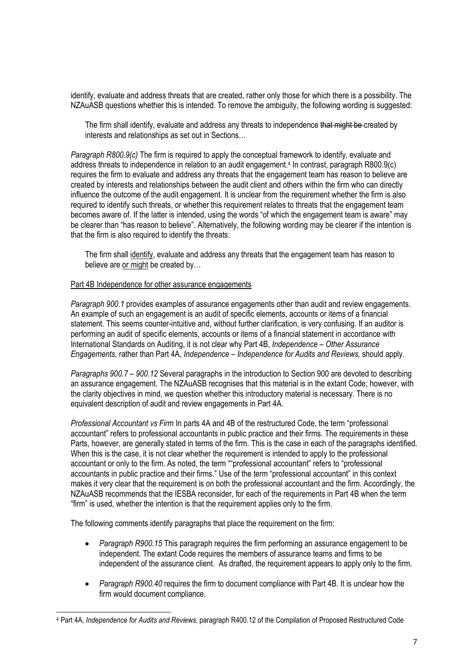identify, evaluate and address threats that are created, rather only those for which there is a possibility. The NZAuASB questions whether this is intended. To remove the ambiguity, the following wording is suggested:

The firm shall identify, evaluate and address any threats to independence that might be created by interests and relationships as set out in Sections…

*Paragraph R800.9(c)* The firm is required to apply the conceptual framework to identify, evaluate and address threats to independence in relation to an audit engagement.<sup>4</sup> In contrast, paragraph R800.9(c) requires the firm to evaluate and address any threats that the engagement team has reason to believe are created by interests and relationships between the audit client and others within the firm who can directly influence the outcome of the audit engagement. It is unclear from the requirement whether the firm is also required to identify such threats, or whether this requirement relates to threats that the engagement team becomes aware of. If the latter is intended, using the words "of which the engagement team is aware" may be clearer than "has reason to believe". Alternatively, the following wording may be clearer if the intention is that the firm is also required to identify the threats:

The firm shall identify, evaluate and address any threats that the engagement team has reason to believe are or might be created by...

#### Part 4B Independence for other assurance engagements

*Paragraph 900.1* provides examples of assurance engagements other than audit and review engagements. An example of such an engagement is an audit of specific elements, accounts or items of a financial statement. This seems counter-intuitive and, without further clarification, is very confusing. If an auditor is performing an audit of specific elements, accounts or items of a financial statement in accordance with International Standards on Auditing, it is not clear why Part 4B, *Independence – Other Assurance Engagements,* rather than Part 4A, *Independence – Independence for Audits and Reviews,* should apply.

*Paragraphs 900.7 – 900.12* Several paragraphs in the introduction to Section 900 are devoted to describing an assurance engagement. The NZAuASB recognises that this material is in the extant Code; however, with the clarity objectives in mind, we question whether this introductory material is necessary. There is no equivalent description of audit and review engagements in Part 4A.

*Professional Accountant vs Firm* In parts 4A and 4B of the restructured Code, the term "professional accountant" refers to professional accountants in public practice and their firms. The requirements in these Parts, however, are generally stated in terms of the firm. This is the case in each of the paragraphs identified. When this is the case, it is not clear whether the requirement is intended to apply to the professional accountant or only to the firm. As noted, the term ""professional accountant" refers to "professional accountants in public practice and their firms." Use of the term "professional accountant" in this context makes it very clear that the requirement is on both the professional accountant and the firm. Accordingly, the NZAuASB recommends that the IESBA reconsider, for each of the requirements in Part 4B when the term "firm" is used, whether the intention is that the requirement applies only to the firm.

The following comments identify paragraphs that place the requirement on the firm:

l

- *Paragraph R900.15* This paragraph requires the firm performing an assurance engagement to be independent. The extant Code requires the members of assurance teams and firms to be independent of the assurance client. As drafted, the requirement appears to apply only to the firm.
- *Paragraph R900.40* requires the firm to document compliance with Part 4B. It is unclear how the firm would document compliance.

<sup>4</sup> Part 4A, *Independence for Audits and Reviews,* paragraph R400.12 of the Compilation of Proposed Restructured Code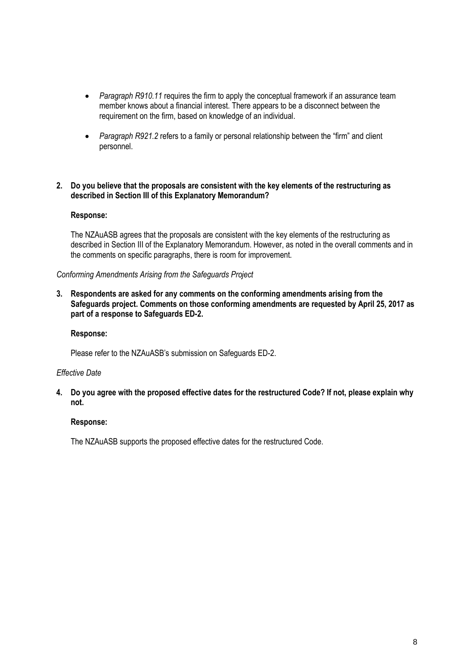- *Paragraph R910.11* requires the firm to apply the conceptual framework if an assurance team member knows about a financial interest. There appears to be a disconnect between the requirement on the firm, based on knowledge of an individual.
- *Paragraph R921.2* refers to a family or personal relationship between the "firm" and client personnel.

### **2. Do you believe that the proposals are consistent with the key elements of the restructuring as described in Section III of this Explanatory Memorandum?**

### **Response:**

The NZAuASB agrees that the proposals are consistent with the key elements of the restructuring as described in Section III of the Explanatory Memorandum. However, as noted in the overall comments and in the comments on specific paragraphs, there is room for improvement.

### *Conforming Amendments Arising from the Safeguards Project*

**3. Respondents are asked for any comments on the conforming amendments arising from the Safeguards project. Comments on those conforming amendments are requested by April 25, 2017 as part of a response to Safeguards ED-2.** 

### **Response:**

Please refer to the NZAuASB's submission on Safeguards ED-2.

#### *Effective Date*

**4. Do you agree with the proposed effective dates for the restructured Code? If not, please explain why not.** 

#### **Response:**

The NZAuASB supports the proposed effective dates for the restructured Code.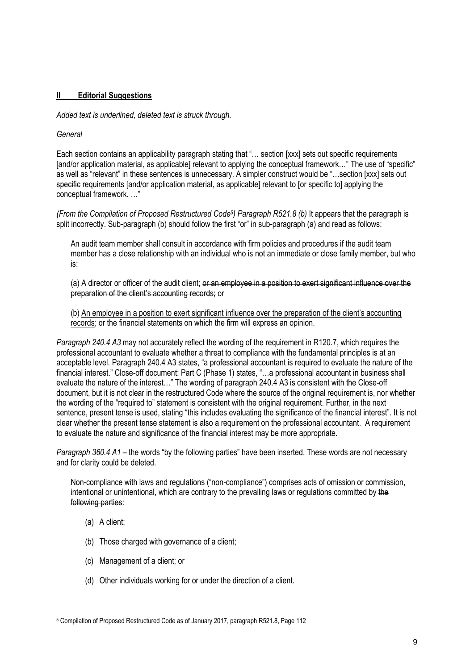# **II Editorial Suggestions**

*Added text is underlined, deleted text is struck through.* 

# *General*

Each section contains an applicability paragraph stating that "… section [xxx] sets out specific requirements [and/or application material, as applicable] relevant to applying the conceptual framework..." The use of "specific" as well as "relevant" in these sentences is unnecessary. A simpler construct would be "…section [xxx] sets out specific requirements [and/or application material, as applicable] relevant to [or specific to] applying the conceptual framework. …"

*(From the Compilation of Proposed Restructured Code<sup>5</sup> ) Paragraph R521.8 (b)* It appears that the paragraph is split incorrectly. Sub-paragraph (b) should follow the first "or" in sub-paragraph (a) and read as follows:

An audit team member shall consult in accordance with firm policies and procedures if the audit team member has a close relationship with an individual who is not an immediate or close family member, but who is:

(a) A director or officer of the audit client; or an employee in a position to exert significant influence over the preparation of the client's accounting records; or

(b) An employee in a position to exert significant influence over the preparation of the client's accounting records; or the financial statements on which the firm will express an opinion.

*Paragraph 240.4 A3* may not accurately reflect the wording of the requirement in R120.7, which requires the professional accountant to evaluate whether a threat to compliance with the fundamental principles is at an acceptable level. Paragraph 240.4 A3 states, "a professional accountant is required to evaluate the nature of the financial interest." Close-off document: Part C (Phase 1) states, "…a professional accountant in business shall evaluate the nature of the interest…" The wording of paragraph 240.4 A3 is consistent with the Close-off document, but it is not clear in the restructured Code where the source of the original requirement is, nor whether the wording of the "required to" statement is consistent with the original requirement. Further, in the next sentence, present tense is used, stating "this includes evaluating the significance of the financial interest". It is not clear whether the present tense statement is also a requirement on the professional accountant. A requirement to evaluate the nature and significance of the financial interest may be more appropriate.

*Paragraph 360.4 A1* – the words "by the following parties" have been inserted. These words are not necessary and for clarity could be deleted.

Non-compliance with laws and regulations ("non-compliance") comprises acts of omission or commission, intentional or unintentional, which are contrary to the prevailing laws or regulations committed by the following parties:

(a) A client;

l

- (b) Those charged with governance of a client;
- (c) Management of a client; or
- (d) Other individuals working for or under the direction of a client.

<sup>5</sup> Compilation of Proposed Restructured Code as of January 2017, paragraph R521.8, Page 112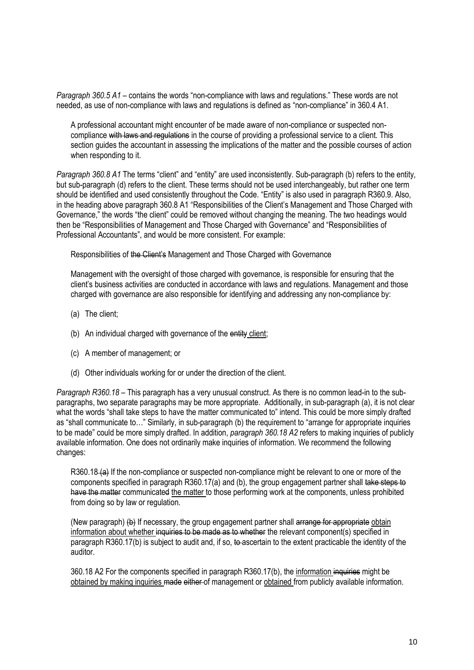*Paragraph 360.5 A1* – contains the words "non-compliance with laws and regulations." These words are not needed, as use of non-compliance with laws and regulations is defined as "non-compliance" in 360.4 A1.

A professional accountant might encounter of be made aware of non-compliance or suspected noncompliance with laws and regulations in the course of providing a professional service to a client. This section guides the accountant in assessing the implications of the matter and the possible courses of action when responding to it.

*Paragraph 360.8 A1* The terms "client" and "entity" are used inconsistently. Sub-paragraph (b) refers to the entity, but sub-paragraph (d) refers to the client. These terms should not be used interchangeably, but rather one term should be identified and used consistently throughout the Code. "Entity" is also used in paragraph R360.9. Also, in the heading above paragraph 360.8 A1 "Responsibilities of the Client's Management and Those Charged with Governance," the words "the client" could be removed without changing the meaning. The two headings would then be "Responsibilities of Management and Those Charged with Governance" and "Responsibilities of Professional Accountants", and would be more consistent. For example:

Responsibilities of the Client's Management and Those Charged with Governance

Management with the oversight of those charged with governance, is responsible for ensuring that the client's business activities are conducted in accordance with laws and regulations. Management and those charged with governance are also responsible for identifying and addressing any non-compliance by:

- (a) The client;
- (b) An individual charged with governance of the entity client;
- (c) A member of management; or
- (d) Other individuals working for or under the direction of the client.

*Paragraph R360.18* – This paragraph has a very unusual construct. As there is no common lead-in to the subparagraphs, two separate paragraphs may be more appropriate. Additionally, in sub-paragraph (a), it is not clear what the words "shall take steps to have the matter communicated to" intend. This could be more simply drafted as "shall communicate to…" Similarly, in sub-paragraph (b) the requirement to "arrange for appropriate inquiries to be made" could be more simply drafted. In addition, *paragraph 360.18 A2* refers to making inquiries of publicly available information. One does not ordinarily make inquiries of information. We recommend the following changes:

R360.18 (a) If the non-compliance or suspected non-compliance might be relevant to one or more of the components specified in paragraph R360.17(a) and (b), the group engagement partner shall take steps to have the matter communicated the matter to those performing work at the components, unless prohibited from doing so by law or regulation.

(New paragraph) (b) If necessary, the group engagement partner shall arrange for appropriate obtain information about whether inquiries to be made as to whether the relevant component(s) specified in paragraph R360.17(b) is subject to audit and, if so, to ascertain to the extent practicable the identity of the auditor.

360.18 A2 For the components specified in paragraph R360.17(b), the information inquiries might be obtained by making inquiries made either of management or obtained from publicly available information.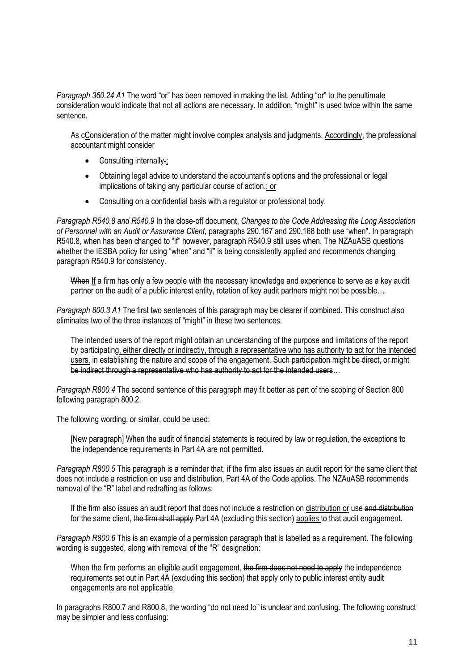*Paragraph 360.24 A1* The word "or" has been removed in making the list. Adding "or" to the penultimate consideration would indicate that not all actions are necessary. In addition, "might" is used twice within the same sentence.

As eConsideration of the matter might involve complex analysis and judgments. Accordingly, the professional accountant might consider

- Consulting internally-;
- Obtaining legal advice to understand the accountant's options and the professional or legal implications of taking any particular course of action.; or
- Consulting on a confidential basis with a regulator or professional body.

*Paragraph R540.8 and R540.9* In the close-off document, *Changes to the Code Addressing the Long Association of Personnel with an Audit or Assurance Client,* paragraphs 290.167 and 290.168 both use "when". In paragraph R540.8, when has been changed to "if" however, paragraph R540.9 still uses when. The NZAuASB questions whether the IESBA policy for using "when" and "if" is being consistently applied and recommends changing paragraph R540.9 for consistency.

When If a firm has only a few people with the necessary knowledge and experience to serve as a key audit partner on the audit of a public interest entity, rotation of key audit partners might not be possible...

*Paragraph 800.3 A1* The first two sentences of this paragraph may be clearer if combined. This construct also eliminates two of the three instances of "might" in these two sentences.

The intended users of the report might obtain an understanding of the purpose and limitations of the report by participating, either directly or indirectly, through a representative who has authority to act for the intended users, in establishing the nature and scope of the engagement. Such participation might be direct, or might be indirect through a representative who has authority to act for the intended users...

*Paragraph R800.4* The second sentence of this paragraph may fit better as part of the scoping of Section 800 following paragraph 800.2.

The following wording, or similar, could be used:

[New paragraph] When the audit of financial statements is required by law or regulation, the exceptions to the independence requirements in Part 4A are not permitted.

*Paragraph R800.5* This paragraph is a reminder that, if the firm also issues an audit report for the same client that does not include a restriction on use and distribution, Part 4A of the Code applies. The NZAuASB recommends removal of the "R" label and redrafting as follows:

If the firm also issues an audit report that does not include a restriction on distribution or use and distribution for the same client, the firm shall apply Part 4A (excluding this section) applies to that audit engagement.

*Paragraph R800.6* This is an example of a permission paragraph that is labelled as a requirement. The following wording is suggested, along with removal of the "R" designation:

When the firm performs an eligible audit engagement, the firm does not need to apply the independence requirements set out in Part 4A (excluding this section) that apply only to public interest entity audit engagements are not applicable.

In paragraphs R800.7 and R800.8, the wording "do not need to" is unclear and confusing. The following construct may be simpler and less confusing: